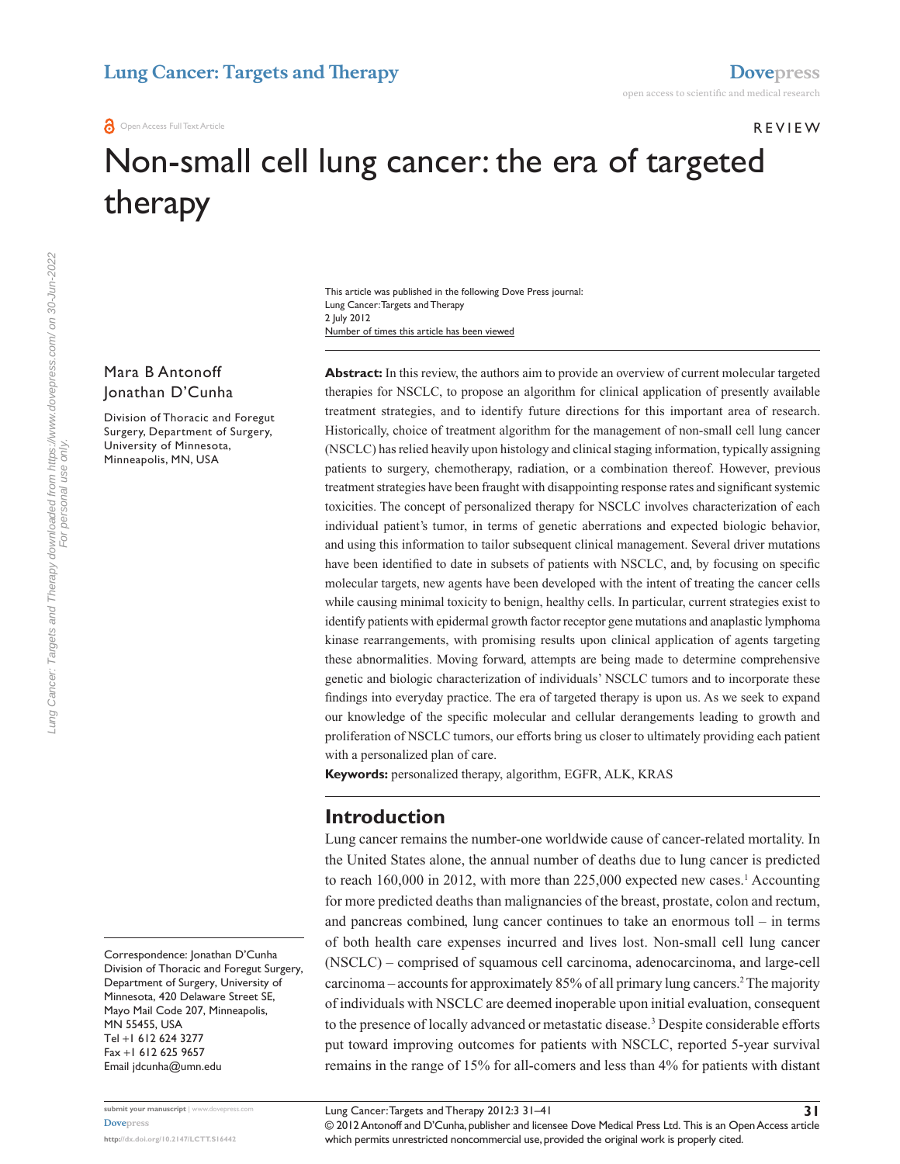#### **REVIEW**

# Non-small cell lung cancer: the era of targeted therapy

Number of times this article has been viewed This article was published in the following Dove Press journal: Lung Cancer: Targets and Therapy 2 July 2012

#### Mara B Antonoff Jonathan D'Cunha

Division of Thoracic and Foregut Surgery, Department of Surgery, University of Minnesota, Minneapolis, MN, USA

Abstract: In this review, the authors aim to provide an overview of current molecular targeted therapies for NSCLC, to propose an algorithm for clinical application of presently available treatment strategies, and to identify future directions for this important area of research. Historically, choice of treatment algorithm for the management of non-small cell lung cancer (NSCLC) has relied heavily upon histology and clinical staging information, typically assigning patients to surgery, chemotherapy, radiation, or a combination thereof. However, previous treatment strategies have been fraught with disappointing response rates and significant systemic toxicities. The concept of personalized therapy for NSCLC involves characterization of each individual patient's tumor, in terms of genetic aberrations and expected biologic behavior, and using this information to tailor subsequent clinical management. Several driver mutations have been identified to date in subsets of patients with NSCLC, and, by focusing on specific molecular targets, new agents have been developed with the intent of treating the cancer cells while causing minimal toxicity to benign, healthy cells. In particular, current strategies exist to identify patients with epidermal growth factor receptor gene mutations and anaplastic lymphoma kinase rearrangements, with promising results upon clinical application of agents targeting these abnormalities. Moving forward, attempts are being made to determine comprehensive genetic and biologic characterization of individuals' NSCLC tumors and to incorporate these findings into everyday practice. The era of targeted therapy is upon us. As we seek to expand our knowledge of the specific molecular and cellular derangements leading to growth and proliferation of NSCLC tumors, our efforts bring us closer to ultimately providing each patient with a personalized plan of care.

**Keywords:** personalized therapy, algorithm, EGFR, ALK, KRAS

# **Introduction**

Lung cancer remains the number-one worldwide cause of cancer-related mortality. In the United States alone, the annual number of deaths due to lung cancer is predicted to reach  $160,000$  in 2012, with more than  $225,000$  expected new cases.<sup>1</sup> Accounting for more predicted deaths than malignancies of the breast, prostate, colon and rectum, and pancreas combined, lung cancer continues to take an enormous toll – in terms of both health care expenses incurred and lives lost. Non-small cell lung cancer (NSCLC) – comprised of squamous cell carcinoma, adenocarcinoma, and large-cell carcinoma – accounts for approximately 85% of all primary lung cancers.<sup>2</sup> The majority of individuals with NSCLC are deemed inoperable upon initial evaluation, consequent to the presence of locally advanced or metastatic disease.<sup>3</sup> Despite considerable efforts put toward improving outcomes for patients with NSCLC, reported 5-year survival remains in the range of 15% for all-comers and less than 4% for patients with distant

Correspondence: Jonathan D'Cunha Division of Thoracic and Foregut Surgery, Department of Surgery, University of Minnesota, 420 Delaware Street SE, Mayo Mail Code 207, Minneapolis, MN 55455, USA Tel +1 612 624 3277 Fax +1 612 625 9657 Email [jdcunha@umn.edu](mailto:jdcunha@umn.edu)

© 2012 Antonoff and D'Cunha, publisher and licensee Dove Medical Press Ltd. This is an Open Access article which permits unrestricted noncommercial use, provided the original work is properly cited.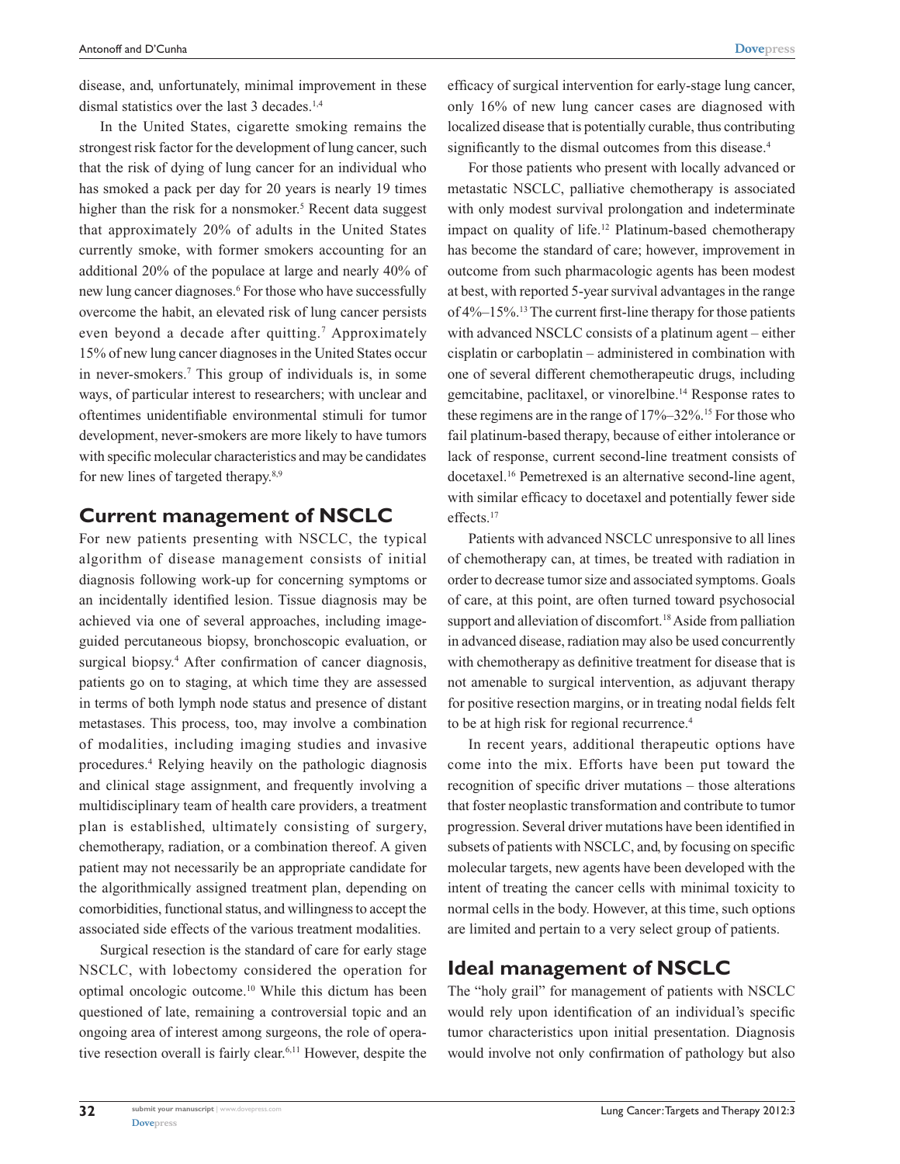disease, and, unfortunately, minimal improvement in these dismal statistics over the last 3 decades.<sup>1,4</sup>

In the United States, cigarette smoking remains the strongest risk factor for the development of lung cancer, such that the risk of dying of lung cancer for an individual who has smoked a pack per day for 20 years is nearly 19 times higher than the risk for a nonsmoker.<sup>5</sup> Recent data suggest that approximately 20% of adults in the United States currently smoke, with former smokers accounting for an additional 20% of the populace at large and nearly 40% of new lung cancer diagnoses.<sup>6</sup> For those who have successfully overcome the habit, an elevated risk of lung cancer persists even beyond a decade after quitting.<sup>7</sup> Approximately 15% of new lung cancer diagnoses in the United States occur in never-smokers.7 This group of individuals is, in some ways, of particular interest to researchers; with unclear and oftentimes unidentifiable environmental stimuli for tumor development, never-smokers are more likely to have tumors with specific molecular characteristics and may be candidates for new lines of targeted therapy.<sup>8,9</sup>

#### **Current management of NSCLC**

For new patients presenting with NSCLC, the typical algorithm of disease management consists of initial diagnosis following work-up for concerning symptoms or an incidentally identified lesion. Tissue diagnosis may be achieved via one of several approaches, including imageguided percutaneous biopsy, bronchoscopic evaluation, or surgical biopsy.<sup>4</sup> After confirmation of cancer diagnosis, patients go on to staging, at which time they are assessed in terms of both lymph node status and presence of distant metastases. This process, too, may involve a combination of modalities, including imaging studies and invasive procedures.4 Relying heavily on the pathologic diagnosis and clinical stage assignment, and frequently involving a multidisciplinary team of health care providers, a treatment plan is established, ultimately consisting of surgery, chemotherapy, radiation, or a combination thereof. A given patient may not necessarily be an appropriate candidate for the algorithmically assigned treatment plan, depending on comorbidities, functional status, and willingness to accept the associated side effects of the various treatment modalities.

Surgical resection is the standard of care for early stage NSCLC, with lobectomy considered the operation for optimal oncologic outcome.10 While this dictum has been questioned of late, remaining a controversial topic and an ongoing area of interest among surgeons, the role of operative resection overall is fairly clear.6,11 However, despite the efficacy of surgical intervention for early-stage lung cancer, only 16% of new lung cancer cases are diagnosed with localized disease that is potentially curable, thus contributing significantly to the dismal outcomes from this disease.<sup>4</sup>

For those patients who present with locally advanced or metastatic NSCLC, palliative chemotherapy is associated with only modest survival prolongation and indeterminate impact on quality of life.<sup>12</sup> Platinum-based chemotherapy has become the standard of care; however, improvement in outcome from such pharmacologic agents has been modest at best, with reported 5-year survival advantages in the range of 4%–15%.13 The current first-line therapy for those patients with advanced NSCLC consists of a platinum agent – either cisplatin or carboplatin – administered in combination with one of several different chemotherapeutic drugs, including gemcitabine, paclitaxel, or vinorelbine.14 Response rates to these regimens are in the range of 17%–32%.15 For those who fail platinum-based therapy, because of either intolerance or lack of response, current second-line treatment consists of docetaxel.16 Pemetrexed is an alternative second-line agent, with similar efficacy to docetaxel and potentially fewer side effects.17

Patients with advanced NSCLC unresponsive to all lines of chemotherapy can, at times, be treated with radiation in order to decrease tumor size and associated symptoms. Goals of care, at this point, are often turned toward psychosocial support and alleviation of discomfort.<sup>18</sup> Aside from palliation in advanced disease, radiation may also be used concurrently with chemotherapy as definitive treatment for disease that is not amenable to surgical intervention, as adjuvant therapy for positive resection margins, or in treating nodal fields felt to be at high risk for regional recurrence.<sup>4</sup>

In recent years, additional therapeutic options have come into the mix. Efforts have been put toward the recognition of specific driver mutations – those alterations that foster neoplastic transformation and contribute to tumor progression. Several driver mutations have been identified in subsets of patients with NSCLC, and, by focusing on specific molecular targets, new agents have been developed with the intent of treating the cancer cells with minimal toxicity to normal cells in the body. However, at this time, such options are limited and pertain to a very select group of patients.

# **Ideal management of NSCLC**

The "holy grail" for management of patients with NSCLC would rely upon identification of an individual's specific tumor characteristics upon initial presentation. Diagnosis would involve not only confirmation of pathology but also

**32**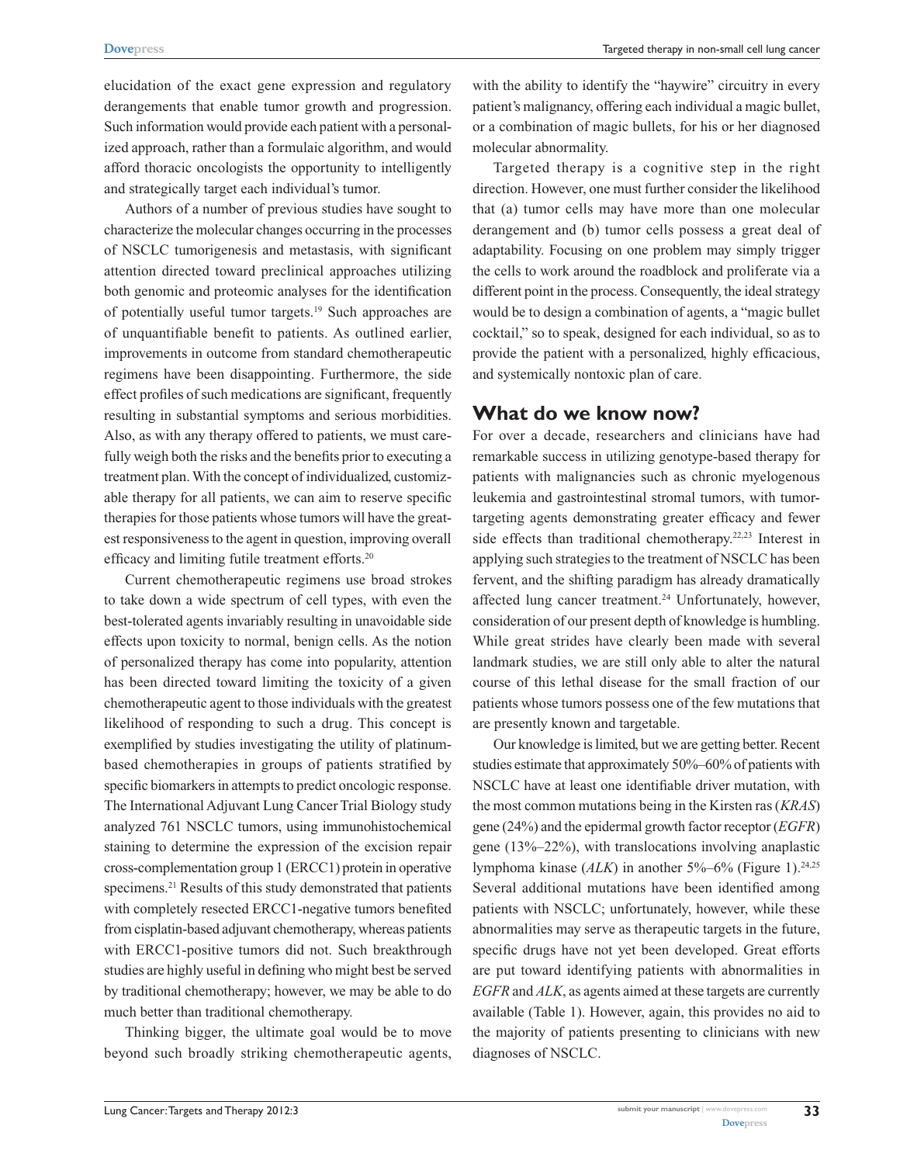Targeted therapy in non-small cell lung cancer

elucidation of the exact gene expression and regulatory derangements that enable tumor growth and progression. Such information would provide each patient with a personalized approach, rather than a formulaic algorithm, and would afford thoracic oncologists the opportunity to intelligently and strategically target each individual's tumor.

Authors of a number of previous studies have sought to characterize the molecular changes occurring in the processes of NSCLC tumorigenesis and metastasis, with significant attention directed toward preclinical approaches utilizing both genomic and proteomic analyses for the identification of potentially useful tumor targets.19 Such approaches are of unquantifiable benefit to patients. As outlined earlier, improvements in outcome from standard chemotherapeutic regimens have been disappointing. Furthermore, the side effect profiles of such medications are significant, frequently resulting in substantial symptoms and serious morbidities. Also, as with any therapy offered to patients, we must carefully weigh both the risks and the benefits prior to executing a treatment plan. With the concept of individualized, customizable therapy for all patients, we can aim to reserve specific therapies for those patients whose tumors will have the greatest responsiveness to the agent in question, improving overall efficacy and limiting futile treatment efforts.<sup>20</sup>

Current chemotherapeutic regimens use broad strokes to take down a wide spectrum of cell types, with even the best-tolerated agents invariably resulting in unavoidable side effects upon toxicity to normal, benign cells. As the notion of personalized therapy has come into popularity, attention has been directed toward limiting the toxicity of a given chemotherapeutic agent to those individuals with the greatest likelihood of responding to such a drug. This concept is exemplified by studies investigating the utility of platinumbased chemotherapies in groups of patients stratified by specific biomarkers in attempts to predict oncologic response. The International Adjuvant Lung Cancer Trial Biology study analyzed 761 NSCLC tumors, using immunohistochemical staining to determine the expression of the excision repair cross-complementation group 1 (ERCC1) protein in operative specimens.<sup>21</sup> Results of this study demonstrated that patients with completely resected ERCC1-negative tumors benefited from cisplatin-based adjuvant chemotherapy, whereas patients with ERCC1-positive tumors did not. Such breakthrough studies are highly useful in defining who might best be served by traditional chemotherapy; however, we may be able to do much better than traditional chemotherapy.

Thinking bigger, the ultimate goal would be to move beyond such broadly striking chemotherapeutic agents,

with the ability to identify the "haywire" circuitry in every patient's malignancy, offering each individual a magic bullet, or a combination of magic bullets, for his or her diagnosed molecular abnormality.

Targeted therapy is a cognitive step in the right direction. However, one must further consider the likelihood that (a) tumor cells may have more than one molecular derangement and (b) tumor cells possess a great deal of adaptability. Focusing on one problem may simply trigger the cells to work around the roadblock and proliferate via a different point in the process. Consequently, the ideal strategy would be to design a combination of agents, a "magic bullet cocktail," so to speak, designed for each individual, so as to provide the patient with a personalized, highly efficacious, and systemically nontoxic plan of care.

#### **What do we know now?**

For over a decade, researchers and clinicians have had remarkable success in utilizing genotype-based therapy for patients with malignancies such as chronic myelogenous leukemia and gastrointestinal stromal tumors, with tumortargeting agents demonstrating greater efficacy and fewer side effects than traditional chemotherapy.<sup>22,23</sup> Interest in applying such strategies to the treatment of NSCLC has been fervent, and the shifting paradigm has already dramatically affected lung cancer treatment.<sup>24</sup> Unfortunately, however, consideration of our present depth of knowledge is humbling. While great strides have clearly been made with several landmark studies, we are still only able to alter the natural course of this lethal disease for the small fraction of our patients whose tumors possess one of the few mutations that are presently known and targetable.

Our knowledge is limited, but we are getting better. Recent studies estimate that approximately 50%–60% of patients with NSCLC have at least one identifiable driver mutation, with the most common mutations being in the Kirsten ras (*KRAS*) gene (24%) and the epidermal growth factor receptor (*EGFR*) gene (13%–22%), with translocations involving anaplastic lymphoma kinase (ALK) in another 5%–6% (Figure 1).<sup>24,25</sup> Several additional mutations have been identified among patients with NSCLC; unfortunately, however, while these abnormalities may serve as therapeutic targets in the future, specific drugs have not yet been developed. Great efforts are put toward identifying patients with abnormalities in *EGFR* and *ALK*, as agents aimed at these targets are currently available (Table 1). However, again, this provides no aid to the majority of patients presenting to clinicians with new diagnoses of NSCLC.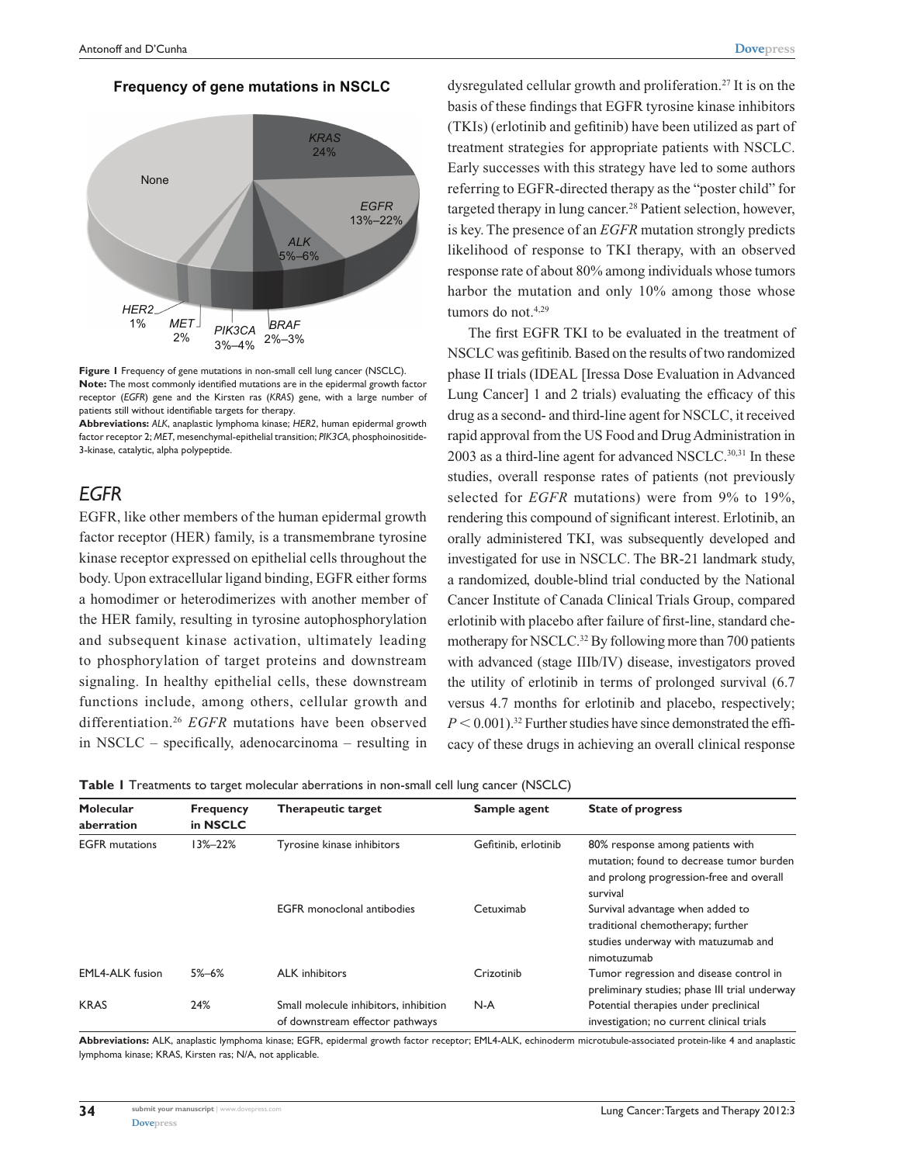#### **Frequency of gene mutations in NSCLC**



**Figure 1** Frequency of gene mutations in non-small cell lung cancer (NSCLC). **Note:** The most commonly identified mutations are in the epidermal growth factor receptor (*EGFR*) gene and the Kirsten ras (*KRAS*) gene, with a large number of patients still without identifiable targets for therapy.

**Abbreviations:** *ALK*, anaplastic lymphoma kinase; *HER2*, human epidermal growth factor receptor 2; *MET*, mesenchymal-epithelial transition; *PIK3CA*, phosphoinositide-3-kinase, catalytic, alpha polypeptide.

#### *EGFR*

EGFR, like other members of the human epidermal growth factor receptor (HER) family, is a transmembrane tyrosine kinase receptor expressed on epithelial cells throughout the body. Upon extracellular ligand binding, EGFR either forms a homodimer or heterodimerizes with another member of the HER family, resulting in tyrosine autophosphorylation and subsequent kinase activation, ultimately leading to phosphorylation of target proteins and downstream signaling. In healthy epithelial cells, these downstream functions include, among others, cellular growth and differentiation.26 *EGFR* mutations have been observed in NSCLC – specifically, adenocarcinoma – resulting in dysregulated cellular growth and proliferation.<sup>27</sup> It is on the basis of these findings that EGFR tyrosine kinase inhibitors (TKIs) (erlotinib and gefitinib) have been utilized as part of treatment strategies for appropriate patients with NSCLC. Early successes with this strategy have led to some authors referring to EGFR-directed therapy as the "poster child" for targeted therapy in lung cancer.<sup>28</sup> Patient selection, however, is key. The presence of an *EGFR* mutation strongly predicts likelihood of response to TKI therapy, with an observed response rate of about 80% among individuals whose tumors harbor the mutation and only 10% among those whose tumors do not.<sup>4,29</sup>

The first EGFR TKI to be evaluated in the treatment of NSCLC was gefitinib. Based on the results of two randomized phase II trials (IDEAL [Iressa Dose Evaluation in Advanced Lung Cancer] 1 and 2 trials) evaluating the efficacy of this drug as a second- and third-line agent for NSCLC, it received rapid approval from the US Food and Drug Administration in 2003 as a third-line agent for advanced NSCLC.<sup>30,31</sup> In these studies, overall response rates of patients (not previously selected for *EGFR* mutations) were from 9% to 19%, rendering this compound of significant interest. Erlotinib, an orally administered TKI, was subsequently developed and investigated for use in NSCLC. The BR-21 landmark study, a randomized, double-blind trial conducted by the National Cancer Institute of Canada Clinical Trials Group, compared erlotinib with placebo after failure of first-line, standard chemotherapy for NSCLC.<sup>32</sup> By following more than 700 patients with advanced (stage IIIb/IV) disease, investigators proved the utility of erlotinib in terms of prolonged survival (6.7 versus 4.7 months for erlotinib and placebo, respectively;  $P < 0.001$ .<sup>32</sup> Further studies have since demonstrated the efficacy of these drugs in achieving an overall clinical response

|  | Table I Treatments to target molecular aberrations in non-small cell lung cancer (NSCLC) |  |  |  |  |  |  |  |
|--|------------------------------------------------------------------------------------------|--|--|--|--|--|--|--|
|--|------------------------------------------------------------------------------------------|--|--|--|--|--|--|--|

| Molecular<br>aberration                                                                        | <b>Frequency</b><br>in NSCLC | Therapeutic target                | Sample agent                                                                       | <b>State of progress</b>                                                                                                             |
|------------------------------------------------------------------------------------------------|------------------------------|-----------------------------------|------------------------------------------------------------------------------------|--------------------------------------------------------------------------------------------------------------------------------------|
| <b>EGFR</b> mutations                                                                          | $13\% - 22\%$                | Tyrosine kinase inhibitors        | Gefitinib, erlotinib                                                               | 80% response among patients with<br>mutation: found to decrease tumor burden<br>and prolong progression-free and overall<br>survival |
|                                                                                                |                              | <b>EGFR</b> monoclonal antibodies | Cetuximab                                                                          | Survival advantage when added to<br>traditional chemotherapy; further<br>studies underway with matuzumab and<br>nimotuzumab          |
| <b>EML4-ALK</b> fusion                                                                         | $5\% - 6\%$                  | <b>ALK</b> inhibitors             | Crizotinib                                                                         | Tumor regression and disease control in<br>preliminary studies; phase III trial underway                                             |
| <b>KRAS</b><br>24%<br>Small molecule inhibitors, inhibition<br>of downstream effector pathways |                              | $N-A$                             | Potential therapies under preclinical<br>investigation; no current clinical trials |                                                                                                                                      |

**Abbreviations:** ALK, anaplastic lymphoma kinase; EGFR, epidermal growth factor receptor; EML4-ALK, echinoderm microtubule-associated protein-like 4 and anaplastic lymphoma kinase; KRAS, Kirsten ras; N/A, not applicable.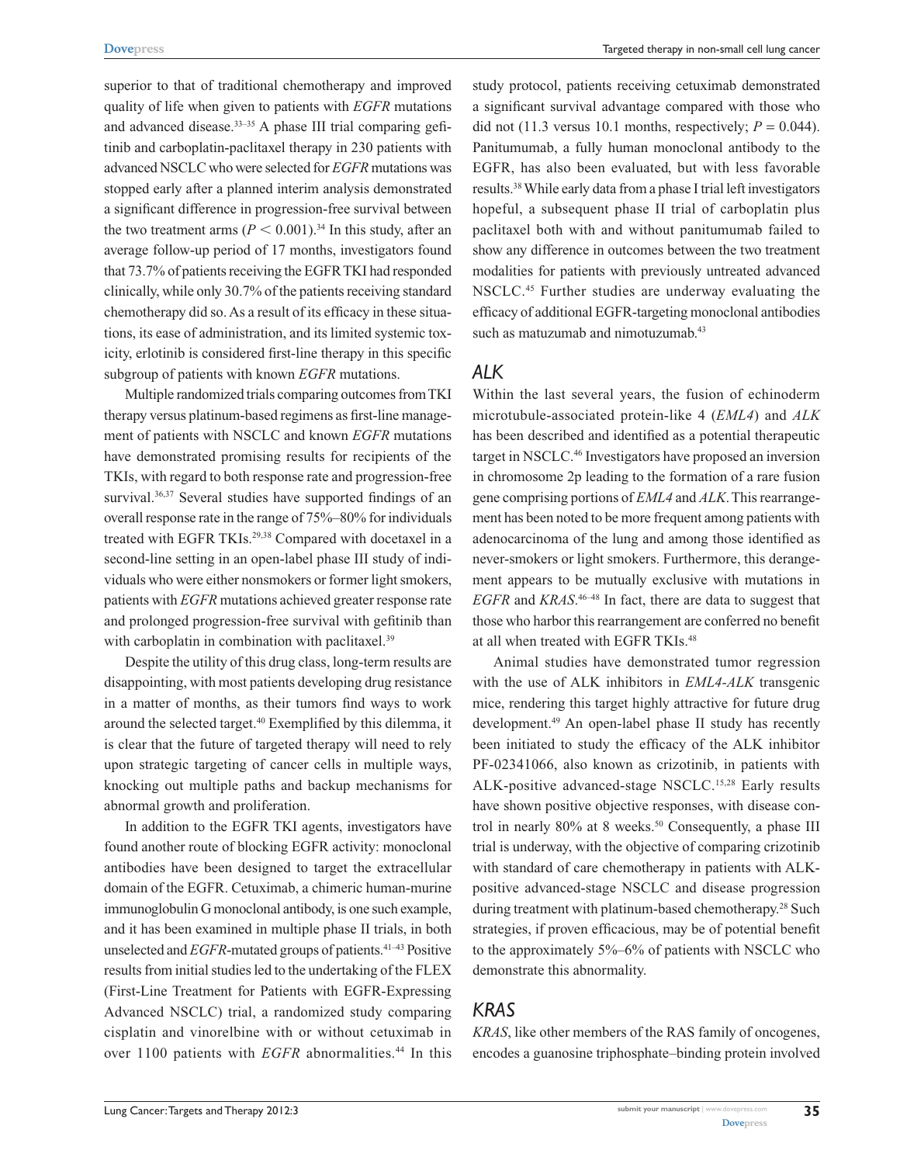superior to that of traditional chemotherapy and improved quality of life when given to patients with *EGFR* mutations and advanced disease.<sup>33–35</sup> A phase III trial comparing gefitinib and carboplatin-paclitaxel therapy in 230 patients with advanced NSCLC who were selected for *EGFR* mutations was stopped early after a planned interim analysis demonstrated a significant difference in progression-free survival between the two treatment arms  $(P < 0.001)$ .<sup>34</sup> In this study, after an average follow-up period of 17 months, investigators found that 73.7% of patients receiving the EGFR TKI had responded clinically, while only 30.7% of the patients receiving standard chemotherapy did so. As a result of its efficacy in these situations, its ease of administration, and its limited systemic toxicity, erlotinib is considered first-line therapy in this specific subgroup of patients with known *EGFR* mutations.

Multiple randomized trials comparing outcomes from TKI therapy versus platinum-based regimens as first-line management of patients with NSCLC and known *EGFR* mutations have demonstrated promising results for recipients of the TKIs, with regard to both response rate and progression-free survival.<sup>36,37</sup> Several studies have supported findings of an overall response rate in the range of 75%–80% for individuals treated with EGFR TKIs.29,38 Compared with docetaxel in a second-line setting in an open-label phase III study of individuals who were either nonsmokers or former light smokers, patients with *EGFR* mutations achieved greater response rate and prolonged progression-free survival with gefitinib than with carboplatin in combination with paclitaxel.<sup>39</sup>

Despite the utility of this drug class, long-term results are disappointing, with most patients developing drug resistance in a matter of months, as their tumors find ways to work around the selected target.<sup>40</sup> Exemplified by this dilemma, it is clear that the future of targeted therapy will need to rely upon strategic targeting of cancer cells in multiple ways, knocking out multiple paths and backup mechanisms for abnormal growth and proliferation.

In addition to the EGFR TKI agents, investigators have found another route of blocking EGFR activity: monoclonal antibodies have been designed to target the extracellular domain of the EGFR. Cetuximab, a chimeric human-murine immunoglobulin G monoclonal antibody, is one such example, and it has been examined in multiple phase II trials, in both unselected and *EGFR*-mutated groups of patients.<sup>41–43</sup> Positive results from initial studies led to the undertaking of the FLEX (First-Line Treatment for Patients with EGFR-Expressing Advanced NSCLC) trial, a randomized study comparing cisplatin and vinorelbine with or without cetuximab in over 1100 patients with *EGFR* abnormalities.<sup>44</sup> In this

study protocol, patients receiving cetuximab demonstrated a significant survival advantage compared with those who did not (11.3 versus 10.1 months, respectively;  $P = 0.044$ ). Panitumumab, a fully human monoclonal antibody to the EGFR, has also been evaluated, but with less favorable results.38 While early data from a phase I trial left investigators hopeful, a subsequent phase II trial of carboplatin plus paclitaxel both with and without panitumumab failed to show any difference in outcomes between the two treatment modalities for patients with previously untreated advanced NSCLC.45 Further studies are underway evaluating the efficacy of additional EGFR-targeting monoclonal antibodies such as matuzumab and nimotuzumab.<sup>43</sup>

#### *ALK*

Within the last several years, the fusion of echinoderm microtubule-associated protein-like 4 (*EML4*) and *ALK* has been described and identified as a potential therapeutic target in NSCLC.46 Investigators have proposed an inversion in chromosome 2p leading to the formation of a rare fusion gene comprising portions of *EML4* and *ALK*. This rearrangement has been noted to be more frequent among patients with adenocarcinoma of the lung and among those identified as never-smokers or light smokers. Furthermore, this derangement appears to be mutually exclusive with mutations in *EGFR* and *KRAS*. 46–48 In fact, there are data to suggest that those who harbor this rearrangement are conferred no benefit at all when treated with EGFR TKIs.48

Animal studies have demonstrated tumor regression with the use of ALK inhibitors in *EML4-ALK* transgenic mice, rendering this target highly attractive for future drug development.49 An open-label phase II study has recently been initiated to study the efficacy of the ALK inhibitor PF-02341066, also known as crizotinib, in patients with ALK-positive advanced-stage NSCLC.15,28 Early results have shown positive objective responses, with disease control in nearly  $80\%$  at 8 weeks.<sup>50</sup> Consequently, a phase III trial is underway, with the objective of comparing crizotinib with standard of care chemotherapy in patients with ALKpositive advanced-stage NSCLC and disease progression during treatment with platinum-based chemotherapy.<sup>28</sup> Such strategies, if proven efficacious, may be of potential benefit to the approximately 5%–6% of patients with NSCLC who demonstrate this abnormality.

# *KRAS*

*KRAS*, like other members of the RAS family of oncogenes, encodes a guanosine triphosphate–binding protein involved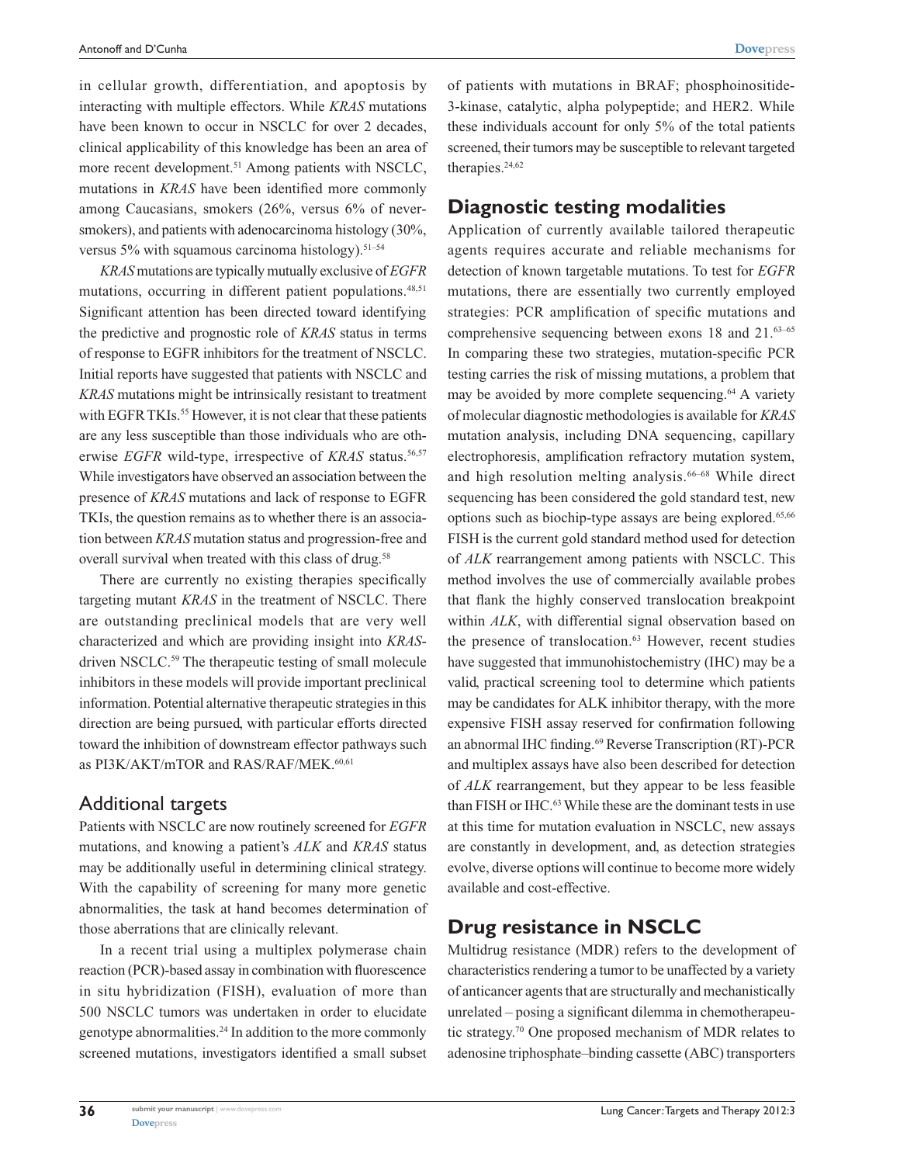in cellular growth, differentiation, and apoptosis by interacting with multiple effectors. While *KRAS* mutations have been known to occur in NSCLC for over 2 decades, clinical applicability of this knowledge has been an area of more recent development.<sup>51</sup> Among patients with NSCLC, mutations in *KRAS* have been identified more commonly among Caucasians, smokers (26%, versus 6% of neversmokers), and patients with adenocarcinoma histology (30%, versus 5% with squamous carcinoma histology).<sup>51-54</sup>

*KRAS* mutations are typically mutually exclusive of *EGFR* mutations, occurring in different patient populations.<sup>48,51</sup> Significant attention has been directed toward identifying the predictive and prognostic role of *KRAS* status in terms of response to EGFR inhibitors for the treatment of NSCLC. Initial reports have suggested that patients with NSCLC and *KRAS* mutations might be intrinsically resistant to treatment with EGFR TKIs.<sup>55</sup> However, it is not clear that these patients are any less susceptible than those individuals who are otherwise *EGFR* wild-type, irrespective of *KRAS* status.<sup>56,57</sup> While investigators have observed an association between the presence of *KRAS* mutations and lack of response to EGFR TKIs, the question remains as to whether there is an association between *KRAS* mutation status and progression-free and overall survival when treated with this class of drug.<sup>58</sup>

There are currently no existing therapies specifically targeting mutant *KRAS* in the treatment of NSCLC. There are outstanding preclinical models that are very well characterized and which are providing insight into *KRAS*driven NSCLC.<sup>59</sup> The therapeutic testing of small molecule inhibitors in these models will provide important preclinical information. Potential alternative therapeutic strategies in this direction are being pursued, with particular efforts directed toward the inhibition of downstream effector pathways such as PI3K/AKT/mTOR and RAS/RAF/MEK.<sup>60,61</sup>

#### Additional targets

Patients with NSCLC are now routinely screened for *EGFR* mutations, and knowing a patient's *ALK* and *KRAS* status may be additionally useful in determining clinical strategy. With the capability of screening for many more genetic abnormalities, the task at hand becomes determination of those aberrations that are clinically relevant.

In a recent trial using a multiplex polymerase chain reaction (PCR)-based assay in combination with fluorescence in situ hybridization (FISH), evaluation of more than 500 NSCLC tumors was undertaken in order to elucidate genotype abnormalities.24 In addition to the more commonly screened mutations, investigators identified a small subset of patients with mutations in BRAF; phosphoinositide-3-kinase, catalytic, alpha polypeptide; and HER2. While these individuals account for only 5% of the total patients screened, their tumors may be susceptible to relevant targeted therapies.<sup>24,62</sup>

#### **Diagnostic testing modalities**

Application of currently available tailored therapeutic agents requires accurate and reliable mechanisms for detection of known targetable mutations. To test for *EGFR* mutations, there are essentially two currently employed strategies: PCR amplification of specific mutations and comprehensive sequencing between exons 18 and 21.<sup>63–65</sup> In comparing these two strategies, mutation-specific PCR testing carries the risk of missing mutations, a problem that may be avoided by more complete sequencing.<sup>64</sup> A variety of molecular diagnostic methodologies is available for *KRAS* mutation analysis, including DNA sequencing, capillary electrophoresis, amplification refractory mutation system, and high resolution melting analysis.<sup>66-68</sup> While direct sequencing has been considered the gold standard test, new options such as biochip-type assays are being explored.65,66 FISH is the current gold standard method used for detection of *ALK* rearrangement among patients with NSCLC. This method involves the use of commercially available probes that flank the highly conserved translocation breakpoint within *ALK*, with differential signal observation based on the presence of translocation.<sup>63</sup> However, recent studies have suggested that immunohistochemistry (IHC) may be a valid, practical screening tool to determine which patients may be candidates for ALK inhibitor therapy, with the more expensive FISH assay reserved for confirmation following an abnormal IHC finding.<sup>69</sup> Reverse Transcription (RT)-PCR and multiplex assays have also been described for detection of *ALK* rearrangement, but they appear to be less feasible than FISH or IHC.<sup>63</sup> While these are the dominant tests in use at this time for mutation evaluation in NSCLC, new assays are constantly in development, and, as detection strategies evolve, diverse options will continue to become more widely available and cost-effective.

#### **Drug resistance in NSCLC**

Multidrug resistance (MDR) refers to the development of characteristics rendering a tumor to be unaffected by a variety of anticancer agents that are structurally and mechanistically unrelated – posing a significant dilemma in chemotherapeutic strategy.70 One proposed mechanism of MDR relates to adenosine triphosphate–binding cassette (ABC) transporters

**36**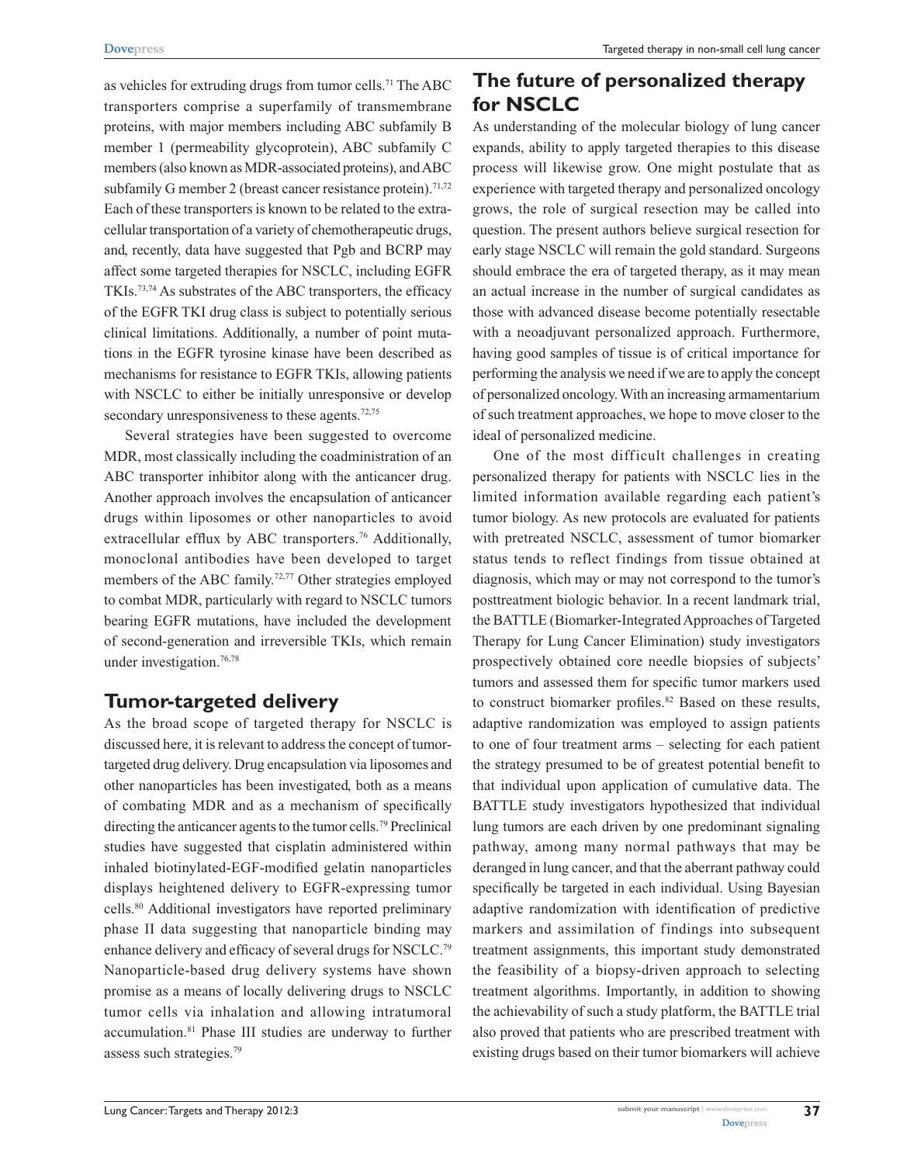as vehicles for extruding drugs from tumor cells.<sup>71</sup> The ABC transporters comprise a superfamily of transmembrane proteins, with major members including ABC subfamily B member 1 (permeability glycoprotein), ABC subfamily C members (also known as MDR-associated proteins), and ABC subfamily G member 2 (breast cancer resistance protein).<sup>71,72</sup> Each of these transporters is known to be related to the extracellular transportation of a variety of chemotherapeutic drugs, and, recently, data have suggested that Pgb and BCRP may affect some targeted therapies for NSCLC, including EGFR TKIs.73,74 As substrates of the ABC transporters, the efficacy of the EGFR TKI drug class is subject to potentially serious clinical limitations. Additionally, a number of point mutations in the EGFR tyrosine kinase have been described as mechanisms for resistance to EGFR TKIs, allowing patients with NSCLC to either be initially unresponsive or develop secondary unresponsiveness to these agents.<sup>72,75</sup>

Several strategies have been suggested to overcome MDR, most classically including the coadministration of an ABC transporter inhibitor along with the anticancer drug. Another approach involves the encapsulation of anticancer drugs within liposomes or other nanoparticles to avoid extracellular efflux by ABC transporters.<sup>76</sup> Additionally, monoclonal antibodies have been developed to target members of the ABC family.<sup>72,77</sup> Other strategies employed to combat MDR, particularly with regard to NSCLC tumors bearing EGFR mutations, have included the development of second-generation and irreversible TKIs, which remain under investigation.<sup>76,78</sup>

# **Tumor-targeted delivery**

As the broad scope of targeted therapy for NSCLC is discussed here, it is relevant to address the concept of tumortargeted drug delivery. Drug encapsulation via liposomes and other nanoparticles has been investigated, both as a means of combating MDR and as a mechanism of specifically directing the anticancer agents to the tumor cells.79 Preclinical studies have suggested that cisplatin administered within inhaled biotinylated-EGF-modified gelatin nanoparticles displays heightened delivery to EGFR-expressing tumor cells.80 Additional investigators have reported preliminary phase II data suggesting that nanoparticle binding may enhance delivery and efficacy of several drugs for NSCLC.79 Nanoparticle-based drug delivery systems have shown promise as a means of locally delivering drugs to NSCLC tumor cells via inhalation and allowing intratumoral accumulation.81 Phase III studies are underway to further assess such strategies.79

# **The future of personalized therapy for NSCLC**

As understanding of the molecular biology of lung cancer expands, ability to apply targeted therapies to this disease process will likewise grow. One might postulate that as experience with targeted therapy and personalized oncology grows, the role of surgical resection may be called into question. The present authors believe surgical resection for early stage NSCLC will remain the gold standard. Surgeons should embrace the era of targeted therapy, as it may mean an actual increase in the number of surgical candidates as those with advanced disease become potentially resectable with a neoadjuvant personalized approach. Furthermore, having good samples of tissue is of critical importance for performing the analysis we need if we are to apply the concept of personalized oncology. With an increasing armamentarium of such treatment approaches, we hope to move closer to the ideal of personalized medicine.

One of the most difficult challenges in creating personalized therapy for patients with NSCLC lies in the limited information available regarding each patient's tumor biology. As new protocols are evaluated for patients with pretreated NSCLC, assessment of tumor biomarker status tends to reflect findings from tissue obtained at diagnosis, which may or may not correspond to the tumor's posttreatment biologic behavior. In a recent landmark trial, the BATTLE (Biomarker-Integrated Approaches of Targeted Therapy for Lung Cancer Elimination) study investigators prospectively obtained core needle biopsies of subjects' tumors and assessed them for specific tumor markers used to construct biomarker profiles.<sup>82</sup> Based on these results, adaptive randomization was employed to assign patients to one of four treatment arms – selecting for each patient the strategy presumed to be of greatest potential benefit to that individual upon application of cumulative data. The BATTLE study investigators hypothesized that individual lung tumors are each driven by one predominant signaling pathway, among many normal pathways that may be deranged in lung cancer, and that the aberrant pathway could specifically be targeted in each individual. Using Bayesian adaptive randomization with identification of predictive markers and assimilation of findings into subsequent treatment assignments, this important study demonstrated the feasibility of a biopsy-driven approach to selecting treatment algorithms. Importantly, in addition to showing the achievability of such a study platform, the BATTLE trial also proved that patients who are prescribed treatment with existing drugs based on their tumor biomarkers will achieve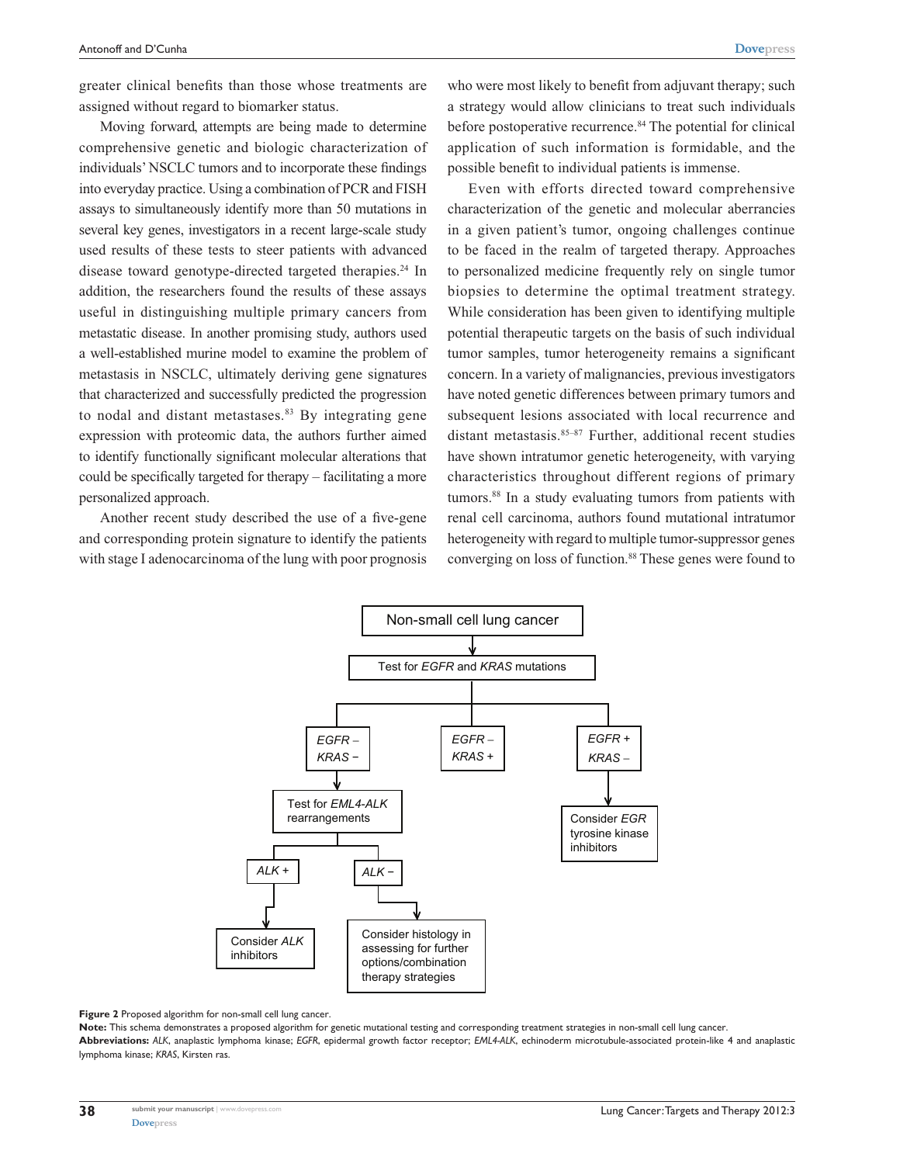greater clinical benefits than those whose treatments are assigned without regard to biomarker status.

Moving forward, attempts are being made to determine comprehensive genetic and biologic characterization of individuals' NSCLC tumors and to incorporate these findings into everyday practice. Using a combination of PCR and FISH assays to simultaneously identify more than 50 mutations in several key genes, investigators in a recent large-scale study used results of these tests to steer patients with advanced disease toward genotype-directed targeted therapies.<sup>24</sup> In addition, the researchers found the results of these assays useful in distinguishing multiple primary cancers from metastatic disease. In another promising study, authors used a well-established murine model to examine the problem of metastasis in NSCLC, ultimately deriving gene signatures that characterized and successfully predicted the progression to nodal and distant metastases. $83$  By integrating gene expression with proteomic data, the authors further aimed to identify functionally significant molecular alterations that could be specifically targeted for therapy – facilitating a more personalized approach.

Another recent study described the use of a five-gene and corresponding protein signature to identify the patients with stage I adenocarcinoma of the lung with poor prognosis

who were most likely to benefit from adjuvant therapy; such a strategy would allow clinicians to treat such individuals before postoperative recurrence.<sup>84</sup> The potential for clinical application of such information is formidable, and the possible benefit to individual patients is immense.

Even with efforts directed toward comprehensive characterization of the genetic and molecular aberrancies in a given patient's tumor, ongoing challenges continue to be faced in the realm of targeted therapy. Approaches to personalized medicine frequently rely on single tumor biopsies to determine the optimal treatment strategy. While consideration has been given to identifying multiple potential therapeutic targets on the basis of such individual tumor samples, tumor heterogeneity remains a significant concern. In a variety of malignancies, previous investigators have noted genetic differences between primary tumors and subsequent lesions associated with local recurrence and distant metastasis.<sup>85-87</sup> Further, additional recent studies have shown intratumor genetic heterogeneity, with varying characteristics throughout different regions of primary tumors.<sup>88</sup> In a study evaluating tumors from patients with renal cell carcinoma, authors found mutational intratumor heterogeneity with regard to multiple tumor-suppressor genes converging on loss of function.<sup>88</sup> These genes were found to



#### **Figure 2** Proposed algorithm for non-small cell lung cancer.

**Note:** This schema demonstrates a proposed algorithm for genetic mutational testing and corresponding treatment strategies in non-small cell lung cancer. **Abbreviations:** *ALK*, anaplastic lymphoma kinase; *EGFR*, epidermal growth factor receptor; *EML4-ALK*, echinoderm microtubule-associated protein-like 4 and anaplastic lymphoma kinase; *KRAS*, Kirsten ras.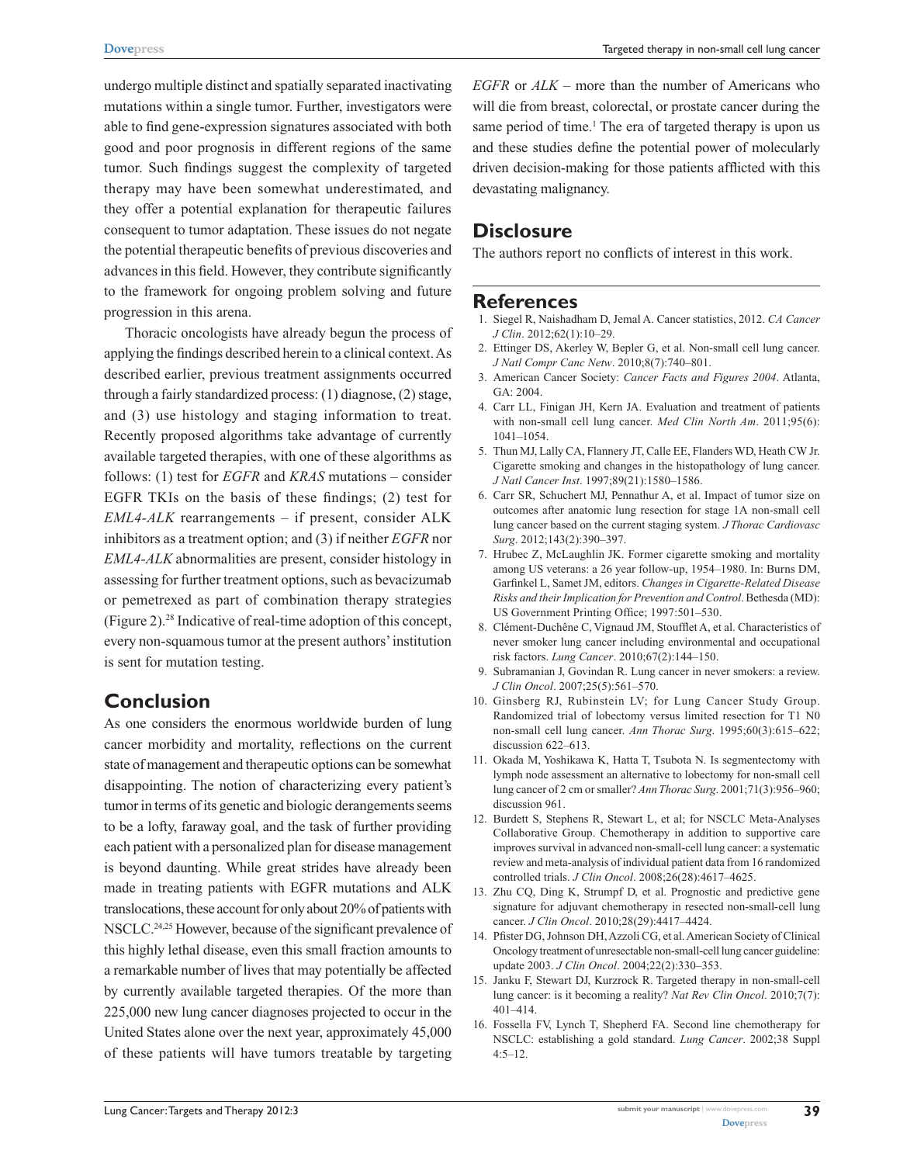undergo multiple distinct and spatially separated inactivating mutations within a single tumor. Further, investigators were able to find gene-expression signatures associated with both good and poor prognosis in different regions of the same tumor. Such findings suggest the complexity of targeted therapy may have been somewhat underestimated, and they offer a potential explanation for therapeutic failures consequent to tumor adaptation. These issues do not negate the potential therapeutic benefits of previous discoveries and advances in this field. However, they contribute significantly to the framework for ongoing problem solving and future progression in this arena.

Thoracic oncologists have already begun the process of applying the findings described herein to a clinical context. As described earlier, previous treatment assignments occurred through a fairly standardized process: (1) diagnose, (2) stage, and (3) use histology and staging information to treat. Recently proposed algorithms take advantage of currently available targeted therapies, with one of these algorithms as follows: (1) test for *EGFR* and *KRAS* mutations – consider EGFR TKIs on the basis of these findings; (2) test for *EML4-ALK* rearrangements – if present, consider ALK inhibitors as a treatment option; and (3) if neither *EGFR* nor *EML4-ALK* abnormalities are present, consider histology in assessing for further treatment options, such as bevacizumab or pemetrexed as part of combination therapy strategies (Figure 2).28 Indicative of real-time adoption of this concept, every non-squamous tumor at the present authors' institution is sent for mutation testing.

# **Conclusion**

As one considers the enormous worldwide burden of lung cancer morbidity and mortality, reflections on the current state of management and therapeutic options can be somewhat disappointing. The notion of characterizing every patient's tumor in terms of its genetic and biologic derangements seems to be a lofty, faraway goal, and the task of further providing each patient with a personalized plan for disease management is beyond daunting. While great strides have already been made in treating patients with EGFR mutations and ALK translocations, these account for only about 20% of patients with NSCLC.24,25 However, because of the significant prevalence of this highly lethal disease, even this small fraction amounts to a remarkable number of lives that may potentially be affected by currently available targeted therapies. Of the more than 225,000 new lung cancer diagnoses projected to occur in the United States alone over the next year, approximately 45,000 of these patients will have tumors treatable by targeting *EGFR* or *ALK* – more than the number of Americans who will die from breast, colorectal, or prostate cancer during the same period of time.<sup>1</sup> The era of targeted therapy is upon us and these studies define the potential power of molecularly driven decision-making for those patients afflicted with this devastating malignancy.

#### **Disclosure**

The authors report no conflicts of interest in this work.

#### **References**

- 1. Siegel R, Naishadham D, Jemal A. Cancer statistics, 2012. *CA Cancer J Clin*. 2012;62(1):10–29.
- 2. Ettinger DS, Akerley W, Bepler G, et al. Non-small cell lung cancer. *J Natl Compr Canc Netw*. 2010;8(7):740–801.
- 3. American Cancer Society: *Cancer Facts and Figures 2004*. Atlanta, GA: 2004.
- 4. Carr LL, Finigan JH, Kern JA. Evaluation and treatment of patients with non-small cell lung cancer. *Med Clin North Am*. 2011;95(6): 1041–1054.
- 5. Thun MJ, Lally CA, Flannery JT, Calle EE, Flanders WD, Heath CW Jr. Cigarette smoking and changes in the histopathology of lung cancer. *J Natl Cancer Inst*. 1997;89(21):1580–1586.
- 6. Carr SR, Schuchert MJ, Pennathur A, et al. Impact of tumor size on outcomes after anatomic lung resection for stage 1A non-small cell lung cancer based on the current staging system. *J Thorac Cardiovasc Surg*. 2012;143(2):390–397.
- 7. Hrubec Z, McLaughlin JK. Former cigarette smoking and mortality among US veterans: a 26 year follow-up, 1954–1980. In: Burns DM, Garfinkel L, Samet JM, editors. *Changes in Cigarette-Related Disease Risks and their Implication for Prevention and Control*. Bethesda (MD): US Government Printing Office; 1997:501–530.
- 8. Clément-Duchêne C, Vignaud JM, Stoufflet A, et al. Characteristics of never smoker lung cancer including environmental and occupational risk factors. *Lung Cancer*. 2010;67(2):144–150.
- 9. Subramanian J, Govindan R. Lung cancer in never smokers: a review. *J Clin Oncol*. 2007;25(5):561–570.
- 10. Ginsberg RJ, Rubinstein LV; for Lung Cancer Study Group. Randomized trial of lobectomy versus limited resection for T1 N0 non-small cell lung cancer. *Ann Thorac Surg*. 1995;60(3):615–622; discussion 622–613.
- 11. Okada M, Yoshikawa K, Hatta T, Tsubota N. Is segmentectomy with lymph node assessment an alternative to lobectomy for non-small cell lung cancer of 2 cm or smaller? *Ann Thorac Surg*. 2001;71(3):956–960; discussion 961.
- 12. Burdett S, Stephens R, Stewart L, et al; for NSCLC Meta-Analyses Collaborative Group. Chemotherapy in addition to supportive care improves survival in advanced non-small-cell lung cancer: a systematic review and meta-analysis of individual patient data from 16 randomized controlled trials. *J Clin Oncol*. 2008;26(28):4617–4625.
- 13. Zhu CQ, Ding K, Strumpf D, et al. Prognostic and predictive gene signature for adjuvant chemotherapy in resected non-small-cell lung cancer. *J Clin Oncol*. 2010;28(29):4417–4424.
- 14. Pfister DG, Johnson DH, Azzoli CG, et al. American Society of Clinical Oncology treatment of unresectable non-small-cell lung cancer guideline: update 2003. *J Clin Oncol*. 2004;22(2):330–353.
- 15. Janku F, Stewart DJ, Kurzrock R. Targeted therapy in non-small-cell lung cancer: is it becoming a reality? *Nat Rev Clin Oncol*. 2010;7(7): 401–414.
- 16. Fossella FV, Lynch T, Shepherd FA. Second line chemotherapy for NSCLC: establishing a gold standard. *Lung Cancer*. 2002;38 Suppl 4:5–12.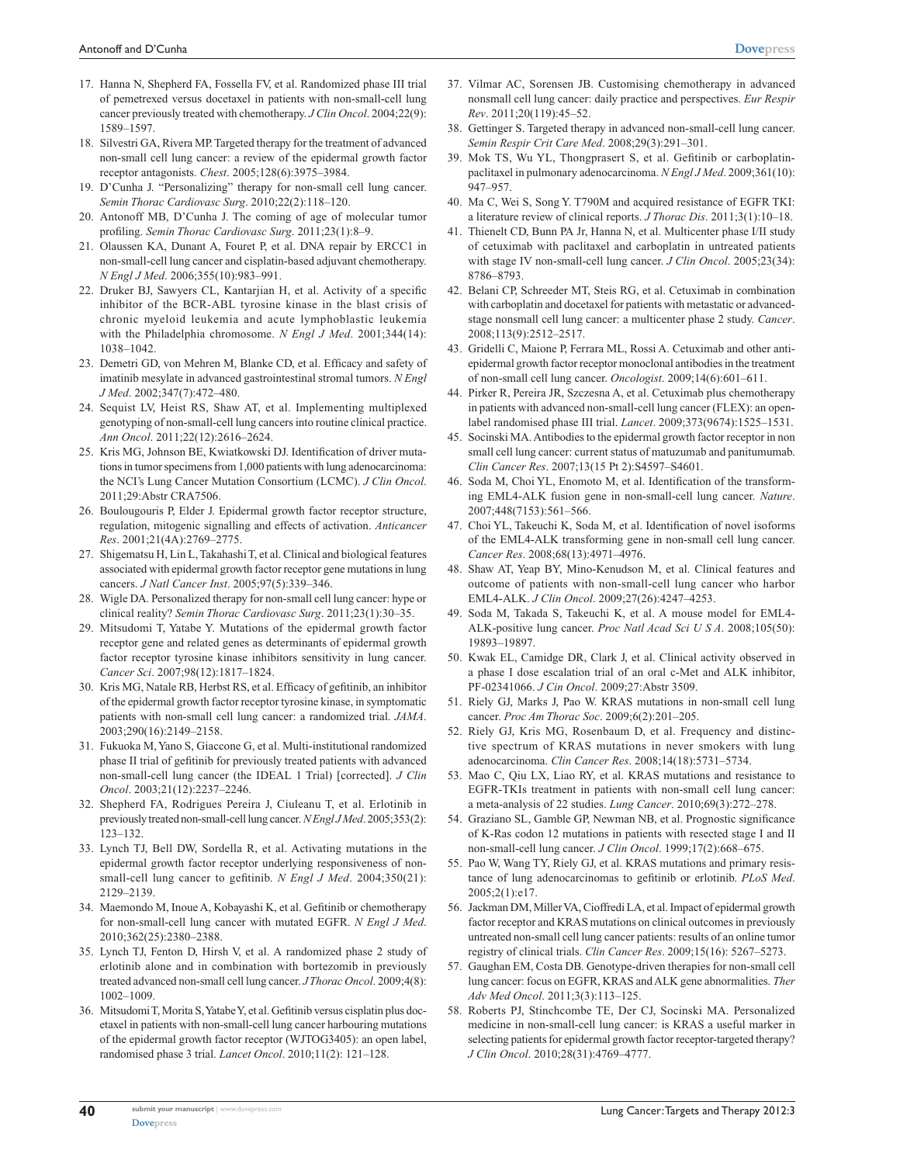- 17. Hanna N, Shepherd FA, Fossella FV, et al. Randomized phase III trial of pemetrexed versus docetaxel in patients with non-small-cell lung cancer previously treated with chemotherapy. *J Clin Oncol*. 2004;22(9): 1589–1597.
- 18. Silvestri GA, Rivera MP. Targeted therapy for the treatment of advanced non-small cell lung cancer: a review of the epidermal growth factor receptor antagonists. *Chest*. 2005;128(6):3975–3984.
- 19. D'Cunha J. "Personalizing" therapy for non-small cell lung cancer. *Semin Thorac Cardiovasc Surg*. 2010;22(2):118–120.
- 20. Antonoff MB, D'Cunha J. The coming of age of molecular tumor profiling. *Semin Thorac Cardiovasc Surg*. 2011;23(1):8–9.
- 21. Olaussen KA, Dunant A, Fouret P, et al. DNA repair by ERCC1 in non-small-cell lung cancer and cisplatin-based adjuvant chemotherapy. *N Engl J Med*. 2006;355(10):983–991.
- 22. Druker BJ, Sawyers CL, Kantarjian H, et al. Activity of a specific inhibitor of the BCR-ABL tyrosine kinase in the blast crisis of chronic myeloid leukemia and acute lymphoblastic leukemia with the Philadelphia chromosome. *N Engl J Med*. 2001;344(14): 1038–1042.
- 23. Demetri GD, von Mehren M, Blanke CD, et al. Efficacy and safety of imatinib mesylate in advanced gastrointestinal stromal tumors. *N Engl J Med*. 2002;347(7):472–480.
- 24. Sequist LV, Heist RS, Shaw AT, et al. Implementing multiplexed genotyping of non-small-cell lung cancers into routine clinical practice. *Ann Oncol*. 2011;22(12):2616–2624.
- 25. Kris MG, Johnson BE, Kwiatkowski DJ. Identification of driver mutations in tumor specimens from 1,000 patients with lung adenocarcinoma: the NCI's Lung Cancer Mutation Consortium (LCMC). *J Clin Oncol*. 2011;29:Abstr CRA7506.
- 26. Boulougouris P, Elder J. Epidermal growth factor receptor structure, regulation, mitogenic signalling and effects of activation. *Anticancer Res*. 2001;21(4A):2769–2775.
- 27. Shigematsu H, Lin L, Takahashi T, et al. Clinical and biological features associated with epidermal growth factor receptor gene mutations in lung cancers. *J Natl Cancer Inst*. 2005;97(5):339–346.
- 28. Wigle DA. Personalized therapy for non-small cell lung cancer: hype or clinical reality? *Semin Thorac Cardiovasc Surg*. 2011;23(1):30–35.
- 29. Mitsudomi T, Yatabe Y. Mutations of the epidermal growth factor receptor gene and related genes as determinants of epidermal growth factor receptor tyrosine kinase inhibitors sensitivity in lung cancer. *Cancer Sci*. 2007;98(12):1817–1824.
- 30. Kris MG, Natale RB, Herbst RS, et al. Efficacy of gefitinib, an inhibitor of the epidermal growth factor receptor tyrosine kinase, in symptomatic patients with non-small cell lung cancer: a randomized trial. *JAMA*. 2003;290(16):2149–2158.
- 31. Fukuoka M, Yano S, Giaccone G, et al. Multi-institutional randomized phase II trial of gefitinib for previously treated patients with advanced non-small-cell lung cancer (the IDEAL 1 Trial) [corrected]. *J Clin Oncol*. 2003;21(12):2237–2246.
- 32. Shepherd FA, Rodrigues Pereira J, Ciuleanu T, et al. Erlotinib in previously treated non-small-cell lung cancer. *N Engl J Med*. 2005;353(2): 123–132.
- 33. Lynch TJ, Bell DW, Sordella R, et al. Activating mutations in the epidermal growth factor receptor underlying responsiveness of nonsmall-cell lung cancer to gefitinib. *N Engl J Med*. 2004;350(21): 2129–2139.
- 34. Maemondo M, Inoue A, Kobayashi K, et al. Gefitinib or chemotherapy for non-small-cell lung cancer with mutated EGFR. *N Engl J Med*. 2010;362(25):2380–2388.
- 35. Lynch TJ, Fenton D, Hirsh V, et al. A randomized phase 2 study of erlotinib alone and in combination with bortezomib in previously treated advanced non-small cell lung cancer. *J Thorac Oncol*. 2009;4(8): 1002–1009.
- 36. Mitsudomi T, Morita S, Yatabe Y, et al. Gefitinib versus cisplatin plus docetaxel in patients with non-small-cell lung cancer harbouring mutations of the epidermal growth factor receptor (WJTOG3405): an open label, randomised phase 3 trial. *Lancet Oncol*. 2010;11(2): 121–128.
- 37. Vilmar AC, Sorensen JB. Customising chemotherapy in advanced nonsmall cell lung cancer: daily practice and perspectives. *Eur Respir Rev*. 2011;20(119):45–52.
- 38. Gettinger S. Targeted therapy in advanced non-small-cell lung cancer. *Semin Respir Crit Care Med*. 2008;29(3):291–301.
- 39. Mok TS, Wu YL, Thongprasert S, et al. Gefitinib or carboplatinpaclitaxel in pulmonary adenocarcinoma. *N Engl J Med*. 2009;361(10): 947–957.
- 40. Ma C, Wei S, Song Y. T790M and acquired resistance of EGFR TKI: a literature review of clinical reports. *J Thorac Dis*. 2011;3(1):10–18.
- 41. Thienelt CD, Bunn PA Jr, Hanna N, et al. Multicenter phase I/II study of cetuximab with paclitaxel and carboplatin in untreated patients with stage IV non-small-cell lung cancer. *J Clin Oncol*. 2005;23(34): 8786–8793.
- 42. Belani CP, Schreeder MT, Steis RG, et al. Cetuximab in combination with carboplatin and docetaxel for patients with metastatic or advancedstage nonsmall cell lung cancer: a multicenter phase 2 study. *Cancer*. 2008;113(9):2512–2517.
- 43. Gridelli C, Maione P, Ferrara ML, Rossi A. Cetuximab and other antiepidermal growth factor receptor monoclonal antibodies in the treatment of non-small cell lung cancer. *Oncologist*. 2009;14(6):601–611.
- 44. Pirker R, Pereira JR, Szczesna A, et al. Cetuximab plus chemotherapy in patients with advanced non-small-cell lung cancer (FLEX): an openlabel randomised phase III trial. *Lancet*. 2009;373(9674):1525–1531.
- 45. Socinski MA. Antibodies to the epidermal growth factor receptor in non small cell lung cancer: current status of matuzumab and panitumumab. *Clin Cancer Res*. 2007;13(15 Pt 2):S4597–S4601.
- 46. Soda M, Choi YL, Enomoto M, et al. Identification of the transforming EML4-ALK fusion gene in non-small-cell lung cancer. *Nature*. 2007;448(7153):561–566.
- 47. Choi YL, Takeuchi K, Soda M, et al. Identification of novel isoforms of the EML4-ALK transforming gene in non-small cell lung cancer. *Cancer Res*. 2008;68(13):4971–4976.
- 48. Shaw AT, Yeap BY, Mino-Kenudson M, et al. Clinical features and outcome of patients with non-small-cell lung cancer who harbor EML4-ALK. *J Clin Oncol*. 2009;27(26):4247–4253.
- 49. Soda M, Takada S, Takeuchi K, et al. A mouse model for EML4- ALK-positive lung cancer. *Proc Natl Acad Sci U S A*. 2008;105(50): 19893–19897.
- 50. Kwak EL, Camidge DR, Clark J, et al. Clinical activity observed in a phase I dose escalation trial of an oral c-Met and ALK inhibitor, PF-02341066. *J Cin Oncol*. 2009;27:Abstr 3509.
- 51. Riely GJ, Marks J, Pao W. KRAS mutations in non-small cell lung cancer. *Proc Am Thorac Soc*. 2009;6(2):201–205.
- 52. Riely GJ, Kris MG, Rosenbaum D, et al. Frequency and distinctive spectrum of KRAS mutations in never smokers with lung adenocarcinoma. *Clin Cancer Res*. 2008;14(18):5731–5734.
- 53. Mao C, Qiu LX, Liao RY, et al. KRAS mutations and resistance to EGFR-TKIs treatment in patients with non-small cell lung cancer: a meta-analysis of 22 studies. *Lung Cancer*. 2010;69(3):272–278.
- 54. Graziano SL, Gamble GP, Newman NB, et al. Prognostic significance of K-Ras codon 12 mutations in patients with resected stage I and II non-small-cell lung cancer. *J Clin Oncol*. 1999;17(2):668–675.
- 55. Pao W, Wang TY, Riely GJ, et al. KRAS mutations and primary resistance of lung adenocarcinomas to gefitinib or erlotinib. *PLoS Med*. 2005;2(1):e17.
- 56. Jackman DM, Miller VA, Cioffredi LA, et al. Impact of epidermal growth factor receptor and KRAS mutations on clinical outcomes in previously untreated non-small cell lung cancer patients: results of an online tumor registry of clinical trials. *Clin Cancer Res*. 2009;15(16): 5267–5273.
- 57. Gaughan EM, Costa DB. Genotype-driven therapies for non-small cell lung cancer: focus on EGFR, KRAS and ALK gene abnormalities. *Ther Adv Med Oncol*. 2011;3(3):113–125.
- 58. Roberts PJ, Stinchcombe TE, Der CJ, Socinski MA. Personalized medicine in non-small-cell lung cancer: is KRAS a useful marker in selecting patients for epidermal growth factor receptor-targeted therapy? *J Clin Oncol*. 2010;28(31):4769–4777.

**40**